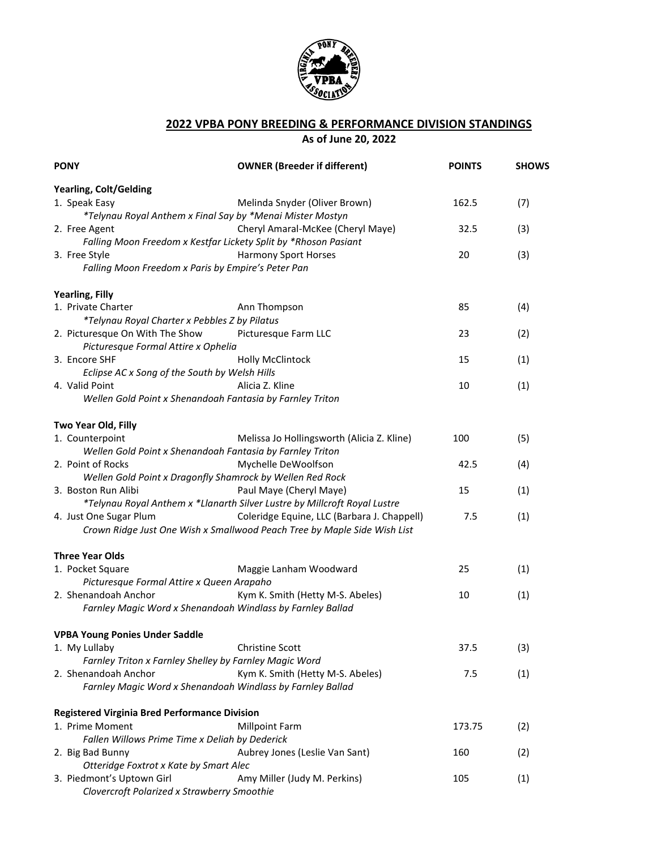

## **2022 VPBA PONY BREEDING & PERFORMANCE DIVISION STANDINGS As of June 20, 2022**

| <b>PONY</b>                                                                      | <b>OWNER (Breeder if different)</b>                                                                                     | <b>POINTS</b> | <b>SHOWS</b> |
|----------------------------------------------------------------------------------|-------------------------------------------------------------------------------------------------------------------------|---------------|--------------|
| <b>Yearling, Colt/Gelding</b>                                                    |                                                                                                                         |               |              |
| 1. Speak Easy<br>*Telynau Royal Anthem x Final Say by *Menai Mister Mostyn       | Melinda Snyder (Oliver Brown)                                                                                           | 162.5         | (7)          |
| 2. Free Agent<br>Falling Moon Freedom x Kestfar Lickety Split by *Rhoson Pasiant | Cheryl Amaral-McKee (Cheryl Maye)                                                                                       | 32.5          | (3)          |
| 3. Free Style<br>Falling Moon Freedom x Paris by Empire's Peter Pan              | <b>Harmony Sport Horses</b>                                                                                             | 20            | (3)          |
| <b>Yearling, Filly</b>                                                           |                                                                                                                         |               |              |
| 1. Private Charter                                                               | Ann Thompson                                                                                                            | 85            | (4)          |
| *Telynau Royal Charter x Pebbles Z by Pilatus                                    |                                                                                                                         |               |              |
| 2. Picturesque On With The Show<br>Picturesque Formal Attire x Ophelia           | Picturesque Farm LLC                                                                                                    | 23            | (2)          |
| 3. Encore SHF                                                                    | <b>Holly McClintock</b>                                                                                                 | 15            | (1)          |
| Eclipse AC x Song of the South by Welsh Hills                                    |                                                                                                                         |               |              |
| 4. Valid Point                                                                   | Alicia Z. Kline                                                                                                         | 10            | (1)          |
| Wellen Gold Point x Shenandoah Fantasia by Farnley Triton                        |                                                                                                                         |               |              |
| Two Year Old, Filly                                                              |                                                                                                                         |               |              |
| 1. Counterpoint                                                                  | Melissa Jo Hollingsworth (Alicia Z. Kline)                                                                              | 100           | (5)          |
| Wellen Gold Point x Shenandoah Fantasia by Farnley Triton                        |                                                                                                                         |               |              |
| 2. Point of Rocks                                                                | Mychelle DeWoolfson                                                                                                     | 42.5          | (4)          |
| Wellen Gold Point x Dragonfly Shamrock by Wellen Red Rock                        |                                                                                                                         |               |              |
| 3. Boston Run Alibi                                                              | Paul Maye (Cheryl Maye)                                                                                                 | 15            | (1)          |
|                                                                                  | *Telynau Royal Anthem x *Llanarth Silver Lustre by Millcroft Royal Lustre                                               |               |              |
| 4. Just One Sugar Plum                                                           | Coleridge Equine, LLC (Barbara J. Chappell)<br>Crown Ridge Just One Wish x Smallwood Peach Tree by Maple Side Wish List | 7.5           | (1)          |
| <b>Three Year Olds</b>                                                           |                                                                                                                         |               |              |
| 1. Pocket Square                                                                 | Maggie Lanham Woodward                                                                                                  | 25            | (1)          |
| Picturesque Formal Attire x Queen Arapaho                                        |                                                                                                                         |               |              |
| 2. Shenandoah Anchor                                                             | Kym K. Smith (Hetty M-S. Abeles)                                                                                        | 10            | (1)          |
| Farnley Magic Word x Shenandoah Windlass by Farnley Ballad                       |                                                                                                                         |               |              |
| <b>VPBA Young Ponies Under Saddle</b>                                            |                                                                                                                         |               |              |
| 1. My Lullaby                                                                    | <b>Christine Scott</b>                                                                                                  | 37.5          | (3)          |
| Farnley Triton x Farnley Shelley by Farnley Magic Word                           |                                                                                                                         |               |              |
| 2. Shenandoah Anchor                                                             | Kym K. Smith (Hetty M-S. Abeles)                                                                                        | 7.5           | (1)          |
| Farnley Magic Word x Shenandoah Windlass by Farnley Ballad                       |                                                                                                                         |               |              |
| <b>Registered Virginia Bred Performance Division</b>                             |                                                                                                                         |               |              |
| 1. Prime Moment                                                                  | <b>Millpoint Farm</b>                                                                                                   | 173.75        | (2)          |
| Fallen Willows Prime Time x Deliah by Dederick                                   |                                                                                                                         |               |              |
| 2. Big Bad Bunny                                                                 | Aubrey Jones (Leslie Van Sant)                                                                                          | 160           | (2)          |
| Otteridge Foxtrot x Kate by Smart Alec                                           |                                                                                                                         |               |              |
| 3. Piedmont's Uptown Girl                                                        | Amy Miller (Judy M. Perkins)                                                                                            | 105           | (1)          |
| Clovercroft Polarized x Strawberry Smoothie                                      |                                                                                                                         |               |              |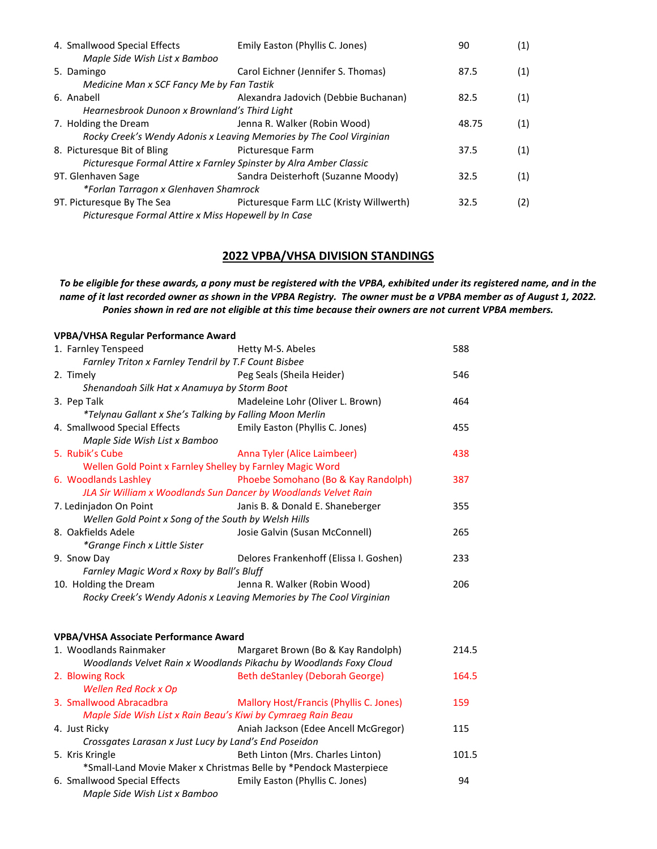| 4. Smallwood Special Effects<br>Maple Side Wish List x Bamboo       | Emily Easton (Phyllis C. Jones)           | 90    | (1) |  |  |
|---------------------------------------------------------------------|-------------------------------------------|-------|-----|--|--|
| 5. Damingo                                                          | Carol Eichner (Jennifer S. Thomas)        | 87.5  | (1) |  |  |
|                                                                     | Medicine Man x SCF Fancy Me by Fan Tastik |       |     |  |  |
| 6. Anabell                                                          | Alexandra Jadovich (Debbie Buchanan)      | 82.5  | (1) |  |  |
| Hearnesbrook Dunoon x Brownland's Third Light                       |                                           |       |     |  |  |
| 7. Holding the Dream                                                | Jenna R. Walker (Robin Wood)              | 48.75 | (1) |  |  |
| Rocky Creek's Wendy Adonis x Leaving Memories by The Cool Virginian |                                           |       |     |  |  |
| 8. Picturesque Bit of Bling                                         | Picturesque Farm                          | 37.5  | (1) |  |  |
| Picturesque Formal Attire x Farnley Spinster by Alra Amber Classic  |                                           |       |     |  |  |
| 9T. Glenhaven Sage                                                  | Sandra Deisterhoft (Suzanne Moody)        | 32.5  | (1) |  |  |
| *Forlan Tarragon x Glenhaven Shamrock                               |                                           |       |     |  |  |
| 9T. Picturesque By The Sea                                          | Picturesque Farm LLC (Kristy Willwerth)   | 32.5  | (2) |  |  |
| Picturesque Formal Attire x Miss Hopewell by In Case                |                                           |       |     |  |  |
|                                                                     |                                           |       |     |  |  |

## **2022 VPBA/VHSA DIVISION STANDINGS**

*To be eligible for these awards, a pony must be registered with the VPBA, exhibited under its registered name, and in the name of it last recorded owner as shown in the VPBA Registry. The owner must be a VPBA member as of August 1, 2022. Ponies shown in red are not eligible at this time because their owners are not current VPBA members.*

| <b>VPBA/VHSA Regular Performance Award</b>                      |                                                                     |       |
|-----------------------------------------------------------------|---------------------------------------------------------------------|-------|
| 1. Farnley Tenspeed                                             | Hetty M-S. Abeles                                                   | 588   |
| Farnley Triton x Farnley Tendril by T.F Count Bisbee            |                                                                     |       |
| 2. Timely                                                       | Peg Seals (Sheila Heider)                                           | 546   |
| Shenandoah Silk Hat x Anamuya by Storm Boot                     |                                                                     |       |
| 3. Pep Talk                                                     | Madeleine Lohr (Oliver L. Brown)                                    | 464   |
| *Telynau Gallant x She's Talking by Falling Moon Merlin         |                                                                     |       |
| 4. Smallwood Special Effects<br>Maple Side Wish List x Bamboo   | Emily Easton (Phyllis C. Jones)                                     | 455   |
| 5. Rubik's Cube                                                 | Anna Tyler (Alice Laimbeer)                                         | 438   |
| Wellen Gold Point x Farnley Shelley by Farnley Magic Word       |                                                                     |       |
| 6. Woodlands Lashley                                            | Phoebe Somohano (Bo & Kay Randolph)                                 | 387   |
| JLA Sir William x Woodlands Sun Dancer by Woodlands Velvet Rain |                                                                     |       |
| 7. Ledinjadon On Point                                          | Janis B. & Donald E. Shaneberger                                    | 355   |
| Wellen Gold Point x Song of the South by Welsh Hills            |                                                                     |       |
| 8. Oakfields Adele                                              | Josie Galvin (Susan McConnell)                                      | 265   |
| *Grange Finch x Little Sister                                   |                                                                     |       |
| 9. Snow Day                                                     | Delores Frankenhoff (Elissa I. Goshen)                              | 233   |
| Farnley Magic Word x Roxy by Ball's Bluff                       |                                                                     |       |
| 10. Holding the Dream                                           | Jenna R. Walker (Robin Wood)                                        | 206   |
|                                                                 | Rocky Creek's Wendy Adonis x Leaving Memories by The Cool Virginian |       |
|                                                                 |                                                                     |       |
| <b>VPBA/VHSA Associate Performance Award</b>                    |                                                                     |       |
| 1. Woodlands Rainmaker                                          | Margaret Brown (Bo & Kay Randolph)                                  | 214.5 |
|                                                                 | Woodlands Velvet Rain x Woodlands Pikachu by Woodlands Foxy Cloud   |       |
| 2. Blowing Rock                                                 | Beth deStanley (Deborah George)                                     | 164.5 |
| Wellen Red Rock x Op                                            |                                                                     |       |
| 3. Smallwood Abracadbra                                         | Mallory Host/Francis (Phyllis C. Jones)                             | 159   |
| Maple Side Wish List x Rain Beau's Kiwi by Cymraeg Rain Beau    |                                                                     |       |
| 4. Just Ricky                                                   | Aniah Jackson (Edee Ancell McGregor)                                | 115   |
| Crossgates Larasan x Just Lucy by Land's End Poseidon           |                                                                     |       |
| 5. Kris Kringle                                                 | Beth Linton (Mrs. Charles Linton)                                   | 101.5 |
|                                                                 | *Small-Land Movie Maker x Christmas Belle by *Pendock Masterpiece   |       |
| 6. Smallwood Special Effects                                    | Emily Easton (Phyllis C. Jones)                                     | 94    |
| Maple Side Wish List x Bamboo                                   |                                                                     |       |